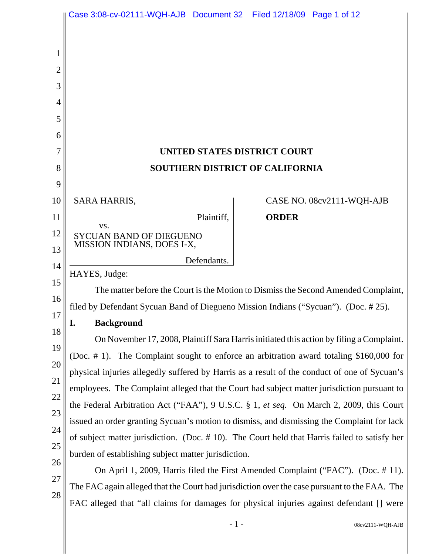|          | Case 3:08-cv-02111-WQH-AJB  Document 32  Filed 12/18/09  Page 1 of 12                        |                                                                                                                                                                                 |  |
|----------|----------------------------------------------------------------------------------------------|---------------------------------------------------------------------------------------------------------------------------------------------------------------------------------|--|
|          |                                                                                              |                                                                                                                                                                                 |  |
| 1        |                                                                                              |                                                                                                                                                                                 |  |
| 2        |                                                                                              |                                                                                                                                                                                 |  |
| 3        |                                                                                              |                                                                                                                                                                                 |  |
| 4        |                                                                                              |                                                                                                                                                                                 |  |
| 5        |                                                                                              |                                                                                                                                                                                 |  |
| 6        |                                                                                              |                                                                                                                                                                                 |  |
| 7        |                                                                                              | UNITED STATES DISTRICT COURT                                                                                                                                                    |  |
| 8        |                                                                                              | <b>SOUTHERN DISTRICT OF CALIFORNIA</b>                                                                                                                                          |  |
| 9        |                                                                                              |                                                                                                                                                                                 |  |
| 10       | <b>SARA HARRIS,</b>                                                                          | CASE NO. 08cv2111-WQH-AJB                                                                                                                                                       |  |
| 11       | Plaintiff,<br>VS.                                                                            | <b>ORDER</b>                                                                                                                                                                    |  |
| 12       | <b>SYCUAN BAND OF DIEGUENO</b><br>MISSION INDIANS, DOES I-X,                                 |                                                                                                                                                                                 |  |
| 13       | Defendants.                                                                                  |                                                                                                                                                                                 |  |
| 14<br>15 | HAYES, Judge:                                                                                |                                                                                                                                                                                 |  |
| 16       |                                                                                              | The matter before the Court is the Motion to Dismiss the Second Amended Complaint,                                                                                              |  |
| 17       | filed by Defendant Sycuan Band of Diegueno Mission Indians ("Sycuan"). (Doc. #25).           |                                                                                                                                                                                 |  |
| 18       | <b>Background</b>                                                                            |                                                                                                                                                                                 |  |
| 19       |                                                                                              | On November 17, 2008, Plaintiff Sara Harris initiated this action by filing a Complaint.                                                                                        |  |
| 20       |                                                                                              | (Doc. $# 1$ ). The Complaint sought to enforce an arbitration award totaling \$160,000 for                                                                                      |  |
| 21       |                                                                                              | physical injuries allegedly suffered by Harris as a result of the conduct of one of Sycuan's                                                                                    |  |
| 22       |                                                                                              | employees. The Complaint alleged that the Court had subject matter jurisdiction pursuant to                                                                                     |  |
| 23       |                                                                                              | the Federal Arbitration Act ("FAA"), 9 U.S.C. § 1, et seq. On March 2, 2009, this Court                                                                                         |  |
| 24       |                                                                                              | issued an order granting Sycuan's motion to dismiss, and dismissing the Complaint for lack                                                                                      |  |
| 25       | of subject matter jurisdiction. (Doc. #10). The Court held that Harris failed to satisfy her |                                                                                                                                                                                 |  |
| 26       | burden of establishing subject matter jurisdiction.                                          |                                                                                                                                                                                 |  |
| 27       |                                                                                              | On April 1, 2009, Harris filed the First Amended Complaint ("FAC"). (Doc. #11).<br>The FAC again alleged that the Court had jurisdiction over the case pursuant to the FAA. The |  |
| 28       |                                                                                              | FAC alleged that "all claims for damages for physical injuries against defendant [] were                                                                                        |  |
|          |                                                                                              |                                                                                                                                                                                 |  |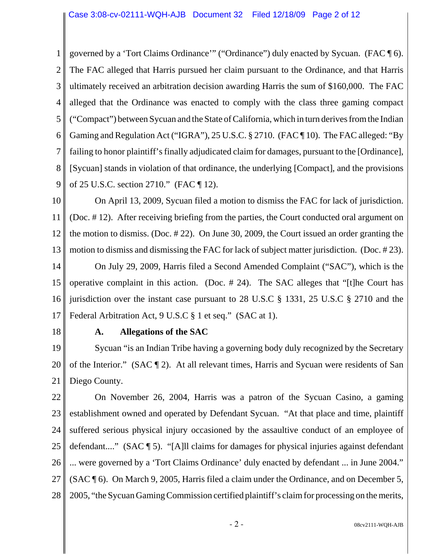1 2 3 4 5 6 7 8 9 governed by a 'Tort Claims Ordinance'" ("Ordinance") duly enacted by Sycuan. (FAC ¶ 6). The FAC alleged that Harris pursued her claim pursuant to the Ordinance, and that Harris ultimately received an arbitration decision awarding Harris the sum of \$160,000. The FAC alleged that the Ordinance was enacted to comply with the class three gaming compact ("Compact") between Sycuan and the State of California, which in turn derives from the Indian Gaming and Regulation Act ("IGRA"), 25 U.S.C. § 2710. (FAC ¶ 10). The FAC alleged: "By failing to honor plaintiff's finally adjudicated claim for damages, pursuant to the [Ordinance], [Sycuan] stands in violation of that ordinance, the underlying [Compact], and the provisions of 25 U.S.C. section 2710." (FAC ¶ 12).

10 11 12 13 On April 13, 2009, Sycuan filed a motion to dismiss the FAC for lack of jurisdiction. (Doc. # 12). After receiving briefing from the parties, the Court conducted oral argument on the motion to dismiss. (Doc. # 22). On June 30, 2009, the Court issued an order granting the motion to dismiss and dismissing the FAC for lack of subject matter jurisdiction. (Doc. # 23).

14 15 16 17 On July 29, 2009, Harris filed a Second Amended Complaint ("SAC"), which is the operative complaint in this action. (Doc. # 24). The SAC alleges that "[t]he Court has jurisdiction over the instant case pursuant to 28 U.S.C § 1331, 25 U.S.C § 2710 and the Federal Arbitration Act, 9 U.S.C § 1 et seq." (SAC at 1).

18

# **A. Allegations of the SAC**

19 20 21 Sycuan "is an Indian Tribe having a governing body duly recognized by the Secretary of the Interior." (SAC ¶ 2). At all relevant times, Harris and Sycuan were residents of San Diego County.

22 23 24 25 26 27 28 On November 26, 2004, Harris was a patron of the Sycuan Casino, a gaming establishment owned and operated by Defendant Sycuan. "At that place and time, plaintiff suffered serious physical injury occasioned by the assaultive conduct of an employee of defendant...." (SAC ¶ 5). "[A]ll claims for damages for physical injuries against defendant ... were governed by a 'Tort Claims Ordinance' duly enacted by defendant ... in June 2004." (SAC ¶ 6). On March 9, 2005, Harris filed a claim under the Ordinance, and on December 5, 2005, "the Sycuan Gaming Commission certified plaintiff's claim for processing on the merits,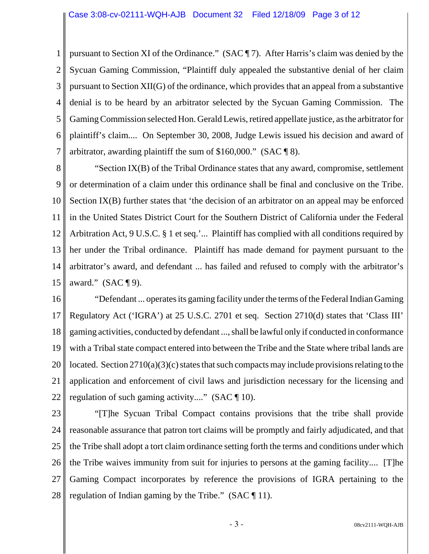1 2 3 4 5 6 7 pursuant to Section XI of the Ordinance." (SAC ¶ 7). After Harris's claim was denied by the Sycuan Gaming Commission, "Plaintiff duly appealed the substantive denial of her claim pursuant to Section XII(G) of the ordinance, which provides that an appeal from a substantive denial is to be heard by an arbitrator selected by the Sycuan Gaming Commission. The Gaming Commission selected Hon. Gerald Lewis, retired appellate justice, as the arbitrator for plaintiff's claim.... On September 30, 2008, Judge Lewis issued his decision and award of arbitrator, awarding plaintiff the sum of \$160,000." (SAC ¶ 8).

8 9 10 11 12 13 14 15 "Section IX(B) of the Tribal Ordinance states that any award, compromise, settlement or determination of a claim under this ordinance shall be final and conclusive on the Tribe. Section IX(B) further states that 'the decision of an arbitrator on an appeal may be enforced in the United States District Court for the Southern District of California under the Federal Arbitration Act, 9 U.S.C. § 1 et seq.'... Plaintiff has complied with all conditions required by her under the Tribal ordinance. Plaintiff has made demand for payment pursuant to the arbitrator's award, and defendant ... has failed and refused to comply with the arbitrator's award."  $(SAC \P 9)$ .

16 17 18 19 20 21 22 "Defendant ... operates its gaming facility under the terms of the Federal Indian Gaming Regulatory Act ('IGRA') at 25 U.S.C. 2701 et seq. Section 2710(d) states that 'Class III' gaming activities, conducted by defendant ..., shall be lawful only if conducted in conformance with a Tribal state compact entered into between the Tribe and the State where tribal lands are located. Section 2710(a)(3)(c) states that such compacts may include provisions relating to the application and enforcement of civil laws and jurisdiction necessary for the licensing and regulation of such gaming activity...." (SAC ¶ 10).

23 24 25 26 27 28 "[T]he Sycuan Tribal Compact contains provisions that the tribe shall provide reasonable assurance that patron tort claims will be promptly and fairly adjudicated, and that the Tribe shall adopt a tort claim ordinance setting forth the terms and conditions under which the Tribe waives immunity from suit for injuries to persons at the gaming facility.... [T]he Gaming Compact incorporates by reference the provisions of IGRA pertaining to the regulation of Indian gaming by the Tribe." (SAC  $\P$  11).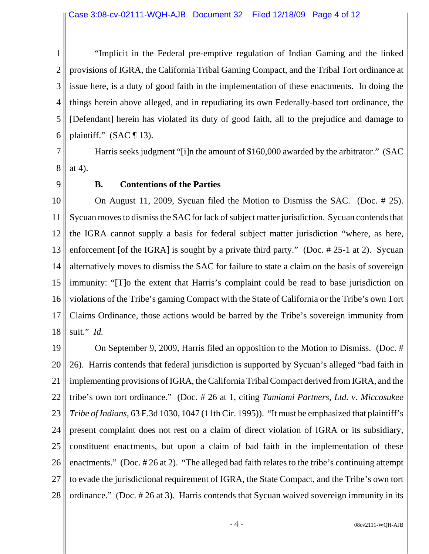1 2 3 4 5 6 "Implicit in the Federal pre-emptive regulation of Indian Gaming and the linked provisions of IGRA, the California Tribal Gaming Compact, and the Tribal Tort ordinance at issue here, is a duty of good faith in the implementation of these enactments. In doing the things herein above alleged, and in repudiating its own Federally-based tort ordinance, the [Defendant] herein has violated its duty of good faith, all to the prejudice and damage to plaintiff." (SAC  $\P$  13).

7 8 Harris seeks judgment "[i]n the amount of \$160,000 awarded by the arbitrator." (SAC at 4).

9

# **B. Contentions of the Parties**

10 11 12 13 14 15 16 17 18 On August 11, 2009, Sycuan filed the Motion to Dismiss the SAC. (Doc. # 25). Sycuan moves to dismiss the SAC for lack of subject matter jurisdiction. Sycuan contends that the IGRA cannot supply a basis for federal subject matter jurisdiction "where, as here, enforcement [of the IGRA] is sought by a private third party." (Doc. # 25-1 at 2). Sycuan alternatively moves to dismiss the SAC for failure to state a claim on the basis of sovereign immunity: "[T]o the extent that Harris's complaint could be read to base jurisdiction on violations of the Tribe's gaming Compact with the State of California or the Tribe's own Tort Claims Ordinance, those actions would be barred by the Tribe's sovereign immunity from suit." *Id.*

19 20 21 22 23 24 25 26 27 28 On September 9, 2009, Harris filed an opposition to the Motion to Dismiss. (Doc. # 26). Harris contends that federal jurisdiction is supported by Sycuan's alleged "bad faith in implementing provisions of IGRA, the California Tribal Compact derived from IGRA, and the tribe's own tort ordinance." (Doc. # 26 at 1, citing *Tamiami Partners, Ltd. v. Miccosukee Tribe of Indians,* 63 F.3d 1030, 1047 (11th Cir. 1995)). "It must be emphasized that plaintiff's present complaint does not rest on a claim of direct violation of IGRA or its subsidiary, constituent enactments, but upon a claim of bad faith in the implementation of these enactments." (Doc. # 26 at 2). "The alleged bad faith relates to the tribe's continuing attempt to evade the jurisdictional requirement of IGRA, the State Compact, and the Tribe's own tort ordinance." (Doc. # 26 at 3). Harris contends that Sycuan waived sovereign immunity in its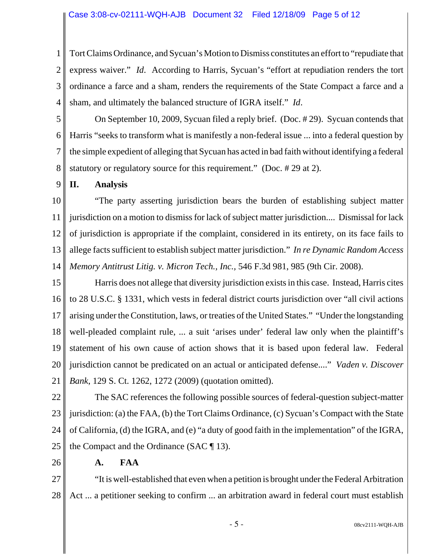1 2 3 4 Tort Claims Ordinance, and Sycuan's Motion to Dismiss constitutes an effort to "repudiate that express waiver." *Id*. According to Harris, Sycuan's "effort at repudiation renders the tort ordinance a farce and a sham, renders the requirements of the State Compact a farce and a sham, and ultimately the balanced structure of IGRA itself." *Id*.

5 6 7 8 On September 10, 2009, Sycuan filed a reply brief. (Doc. # 29). Sycuan contends that Harris "seeks to transform what is manifestly a non-federal issue ... into a federal question by the simple expedient of alleging that Sycuan has acted in bad faith without identifying a federal statutory or regulatory source for this requirement." (Doc. # 29 at 2).

9 **II. Analysis**

10 11 12 13 14 "The party asserting jurisdiction bears the burden of establishing subject matter jurisdiction on a motion to dismiss for lack of subject matter jurisdiction.... Dismissal for lack of jurisdiction is appropriate if the complaint, considered in its entirety, on its face fails to allege facts sufficient to establish subject matter jurisdiction." *In re Dynamic Random Access Memory Antitrust Litig. v. Micron Tech., Inc.,* 546 F.3d 981, 985 (9th Cir. 2008).

15 16 17 18 19 20 21 Harris does not allege that diversity jurisdiction exists in this case. Instead, Harris cites to 28 U.S.C. § 1331, which vests in federal district courts jurisdiction over "all civil actions arising under the Constitution, laws, or treaties of the United States." "Under the longstanding well-pleaded complaint rule, ... a suit 'arises under' federal law only when the plaintiff's statement of his own cause of action shows that it is based upon federal law. Federal jurisdiction cannot be predicated on an actual or anticipated defense...." *Vaden v. Discover Bank*, 129 S. Ct. 1262, 1272 (2009) (quotation omitted).

22 23 24 25 The SAC references the following possible sources of federal-question subject-matter jurisdiction: (a) the FAA, (b) the Tort Claims Ordinance, (c) Sycuan's Compact with the State of California, (d) the IGRA, and (e) "a duty of good faith in the implementation" of the IGRA, the Compact and the Ordinance (SAC ¶ 13).

26

#### **A. FAA**

27 28 "It is well-established that even when a petition is brought under the Federal Arbitration Act ... a petitioner seeking to confirm ... an arbitration award in federal court must establish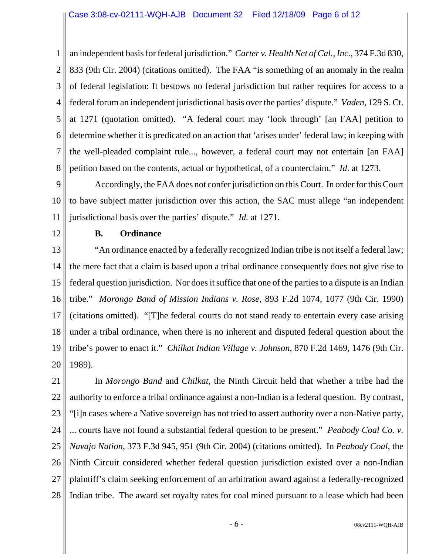1 2 3 4 5 6 7 8 an independent basis for federal jurisdiction." *Carter v. Health Net of Cal., Inc.,* 374 F.3d 830, 833 (9th Cir. 2004) (citations omitted). The FAA "is something of an anomaly in the realm of federal legislation: It bestows no federal jurisdiction but rather requires for access to a federal forum an independent jurisdictional basis over the parties' dispute." *Vaden*, 129 S. Ct. at 1271 (quotation omitted). "A federal court may 'look through' [an FAA] petition to determine whether it is predicated on an action that 'arises under' federal law; in keeping with the well-pleaded complaint rule..., however, a federal court may not entertain [an FAA] petition based on the contents, actual or hypothetical, of a counterclaim." *Id*. at 1273.

9 10 11 Accordingly, the FAA does not confer jurisdiction on this Court. In order for this Court to have subject matter jurisdiction over this action, the SAC must allege "an independent jurisdictional basis over the parties' dispute." *Id.* at 1271.

12

## **B. Ordinance**

13 14 15 16 17 18 19 20 "An ordinance enacted by a federally recognized Indian tribe is not itself a federal law; the mere fact that a claim is based upon a tribal ordinance consequently does not give rise to federal question jurisdiction. Nor does it suffice that one of the parties to a dispute is an Indian tribe." *Morongo Band of Mission Indians v. Rose*, 893 F.2d 1074, 1077 (9th Cir. 1990) (citations omitted). "[T]he federal courts do not stand ready to entertain every case arising under a tribal ordinance, when there is no inherent and disputed federal question about the tribe's power to enact it." *Chilkat Indian Village v. Johnson*, 870 F.2d 1469, 1476 (9th Cir. 1989).

21 22 23 24 25 26 27 28 In *Morongo Band* and *Chilkat*, the Ninth Circuit held that whether a tribe had the authority to enforce a tribal ordinance against a non-Indian is a federal question. By contrast, "[i]n cases where a Native sovereign has not tried to assert authority over a non-Native party, ... courts have not found a substantial federal question to be present." *Peabody Coal Co. v. Navajo Nation*, 373 F.3d 945, 951 (9th Cir. 2004) (citations omitted). In *Peabody Coal*, the Ninth Circuit considered whether federal question jurisdiction existed over a non-Indian plaintiff's claim seeking enforcement of an arbitration award against a federally-recognized Indian tribe. The award set royalty rates for coal mined pursuant to a lease which had been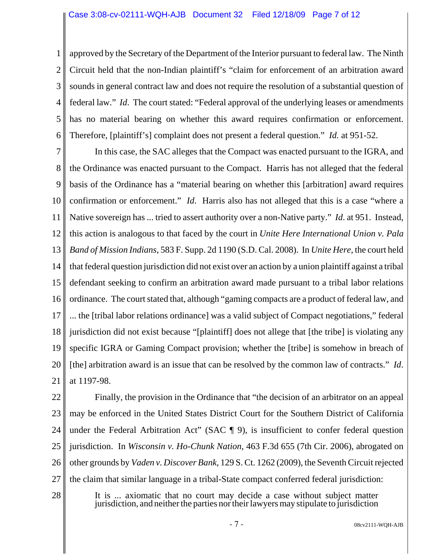1 2 3 4 5 6 approved by the Secretary of the Department of the Interior pursuant to federal law. The Ninth Circuit held that the non-Indian plaintiff's "claim for enforcement of an arbitration award sounds in general contract law and does not require the resolution of a substantial question of federal law." *Id*. The court stated: "Federal approval of the underlying leases or amendments has no material bearing on whether this award requires confirmation or enforcement. Therefore, [plaintiff's] complaint does not present a federal question." *Id.* at 951-52.

7 8 9 10 11 12 13 14 15 16 17 18 19 20 21 In this case, the SAC alleges that the Compact was enacted pursuant to the IGRA, and the Ordinance was enacted pursuant to the Compact. Harris has not alleged that the federal basis of the Ordinance has a "material bearing on whether this [arbitration] award requires confirmation or enforcement." *Id*. Harris also has not alleged that this is a case "where a Native sovereign has ... tried to assert authority over a non-Native party." *Id*. at 951. Instead, this action is analogous to that faced by the court in *Unite Here International Union v. Pala Band of Mission Indians*, 583 F. Supp. 2d 1190 (S.D. Cal. 2008). In *Unite Here*, the court held that federal question jurisdiction did not exist over an action by a union plaintiff against a tribal defendant seeking to confirm an arbitration award made pursuant to a tribal labor relations ordinance. The court stated that, although "gaming compacts are a product of federal law, and ... the [tribal labor relations ordinance] was a valid subject of Compact negotiations," federal jurisdiction did not exist because "[plaintiff] does not allege that [the tribe] is violating any specific IGRA or Gaming Compact provision; whether the [tribe] is somehow in breach of [the] arbitration award is an issue that can be resolved by the common law of contracts." *Id*. at 1197-98.

22 23 24 25 26 27 Finally, the provision in the Ordinance that "the decision of an arbitrator on an appeal may be enforced in the United States District Court for the Southern District of California under the Federal Arbitration Act" (SAC ¶ 9), is insufficient to confer federal question jurisdiction. In *Wisconsin v. Ho-Chunk Nation*, 463 F.3d 655 (7th Cir. 2006), abrogated on other grounds by *Vaden v. Discover Bank,* 129 S. Ct. 1262 (2009), the Seventh Circuit rejected the claim that similar language in a tribal-State compact conferred federal jurisdiction:

28

It is ... axiomatic that no court may decide a case without subject matter jurisdiction, and neither the parties nor their lawyers may stipulate to jurisdiction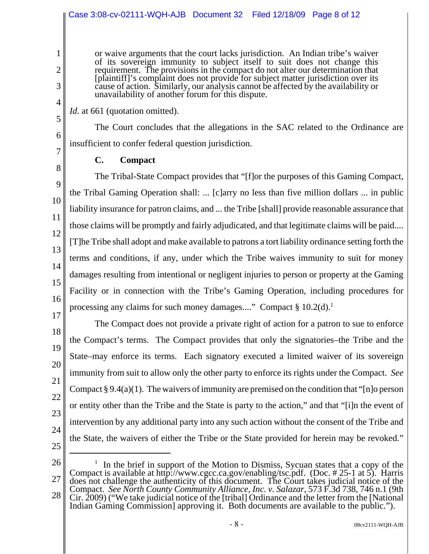#### Case 3:08-cv-02111-WQH-AJB Document 32 Filed 12/18/09 Page 8 of 12

or waive arguments that the court lacks jurisdiction. An Indian tribe's waiver of its sovereign immunity to subject itself to suit does not change this requirement. The provisions in the compact do not alter our determination that [plaintiff]'s complaint does not provide for subject matter jurisdiction over its cause of action. Similarly, our analysis cannot be affected by the availability or unavailability of another forum for this dispute.

*Id.* at 661 (quotation omitted).

The Court concludes that the allegations in the SAC related to the Ordinance are insufficient to confer federal question jurisdiction.

7 8

9

10

11

12

13

14

15

17

18

19

20

21

22

23

24

1

2

3

4

5

6

**C. Compact**

16 The Tribal-State Compact provides that "[f]or the purposes of this Gaming Compact, the Tribal Gaming Operation shall: ... [c]arry no less than five million dollars ... in public liability insurance for patron claims, and ... the Tribe [shall] provide reasonable assurance that those claims will be promptly and fairly adjudicated, and that legitimate claims will be paid.... [T]he Tribe shall adopt and make available to patrons a tort liability ordinance setting forth the terms and conditions, if any, under which the Tribe waives immunity to suit for money damages resulting from intentional or negligent injuries to person or property at the Gaming Facility or in connection with the Tribe's Gaming Operation, including procedures for processing any claims for such money damages...." Compact  $\S 10.2(d)$ .<sup>1</sup>

The Compact does not provide a private right of action for a patron to sue to enforce the Compact's terms. The Compact provides that only the signatories–the Tribe and the State–may enforce its terms. Each signatory executed a limited waiver of its sovereign immunity from suit to allow only the other party to enforce its rights under the Compact. *See* Compact § 9.4(a)(1). The waivers of immunity are premised on the condition that "[n]o person or entity other than the Tribe and the State is party to the action," and that "[i]n the event of intervention by any additional party into any such action without the consent of the Tribe and the State, the waivers of either the Tribe or the State provided for herein may be revoked."

25

26 27 28 <sup>1</sup> In the brief in support of the Motion to Dismiss, Sycuan states that a copy of the Compact is available at http://www.cgcc.ca.gov/enabling/tsc.pdf. (Doc. # 25-1 at 5). Harris does not challenge the authenticity of this document. The Court takes judicial notice of the Compact. *See North County Community Alliance, Inc. v. Salazar*, 573 F.3d 738, 746 n.1 (9th Cir. 2009) ("We take judicial notice of the [tribal] Ordinance and the letter from the [National Indian Gaming Commission] approving it. Both documents are available to the public.").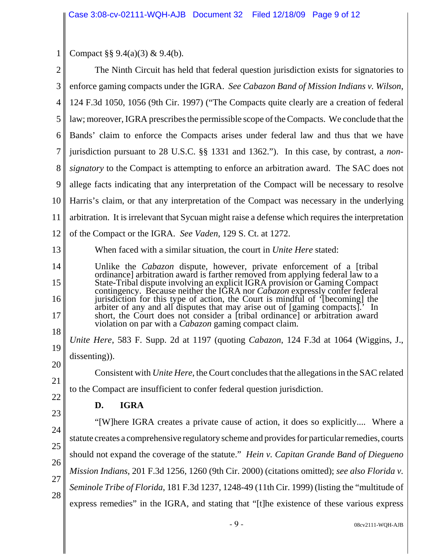1 Compact §§ 9.4(a)(3) & 9.4(b).

| $\mathbf{2}$   | The Ninth Circuit has held that federal question jurisdiction exists for signatories to                                                                         |  |
|----------------|-----------------------------------------------------------------------------------------------------------------------------------------------------------------|--|
| 3              | enforce gaming compacts under the IGRA. See Cabazon Band of Mission Indians v. Wilson,                                                                          |  |
| $\overline{4}$ | 124 F.3d 1050, 1056 (9th Cir. 1997) ("The Compacts quite clearly are a creation of federal                                                                      |  |
| 5              | law; moreover, IGRA prescribes the permissible scope of the Compacts. We conclude that the                                                                      |  |
| 6              | Bands' claim to enforce the Compacts arises under federal law and thus that we have                                                                             |  |
| 7              | jurisdiction pursuant to 28 U.S.C. §§ 1331 and 1362."). In this case, by contrast, a <i>non</i> -                                                               |  |
| 8              | <i>signatory</i> to the Compact is attempting to enforce an arbitration award. The SAC does not                                                                 |  |
| 9              | allege facts indicating that any interpretation of the Compact will be necessary to resolve                                                                     |  |
| 10             | Harris's claim, or that any interpretation of the Compact was necessary in the underlying                                                                       |  |
| 11             | arbitration. It is irrelevant that Sycuan might raise a defense which requires the interpretation                                                               |  |
| 12             | of the Compact or the IGRA. See Vaden, 129 S. Ct. at 1272.                                                                                                      |  |
| 13             | When faced with a similar situation, the court in <i>Unite Here</i> stated:                                                                                     |  |
| 14             | Unlike the <i>Cabazon</i> dispute, however, private enforcement of a [tribal]<br>ordinance] arbitration award is farther removed from applying federal law to a |  |
| 15             | State-Tribal dispute involving an explicit IGRA provision or Gaming Compact<br>contingency. Because neither the IGRA nor Cabazon expressly confer federal       |  |
| 16             | jurisdiction for this type of action, the Court is mindful of '[becoming] the<br>arbiter of any and all disputes that may arise out of [gaming compacts].' In   |  |
| 17             | short, the Court does not consider a [tribal ordinance] or arbitration award<br>violation on par with a <i>Cabazon</i> gaming compact claim.                    |  |
| 18             | Unite Here, 583 F. Supp. 2d at 1197 (quoting <i>Cabazon</i> , 124 F.3d at 1064 (Wiggins, J.,                                                                    |  |
| 19             | dissenting).                                                                                                                                                    |  |
| 20             | Consistent with Unite Here, the Court concludes that the allegations in the SAC related                                                                         |  |
| 21             | to the Compact are insufficient to confer federal question jurisdiction.                                                                                        |  |
| 22             | <b>IGRA</b><br>D.                                                                                                                                               |  |
| 23             | "[W]here IGRA creates a private cause of action, it does so explicitly Where a                                                                                  |  |
| 24             | statute creates a comprehensive regulatory scheme and provides for particular remedies, courts                                                                  |  |
| 25             | should not expand the coverage of the statute." Hein v. Capitan Grande Band of Diegueno                                                                         |  |
| 26             | Mission Indians, 201 F.3d 1256, 1260 (9th Cir. 2000) (citations omitted); see also Florida v.                                                                   |  |
| 27             | Seminole Tribe of Florida, 181 F.3d 1237, 1248-49 (11th Cir. 1999) (listing the "multitude of                                                                   |  |
| 28             | express remedies" in the IGRA, and stating that "[t]he existence of these various express                                                                       |  |
|                |                                                                                                                                                                 |  |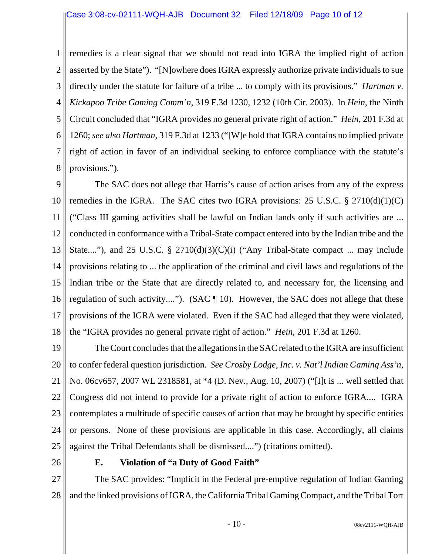1 2 3 4 5 6 7 8 remedies is a clear signal that we should not read into IGRA the implied right of action asserted by the State"). "[N]owhere does IGRA expressly authorize private individuals to sue directly under the statute for failure of a tribe ... to comply with its provisions." *Hartman v. Kickapoo Tribe Gaming Comm'n*, 319 F.3d 1230, 1232 (10th Cir. 2003). In *Hein*, the Ninth Circuit concluded that "IGRA provides no general private right of action." *Hein*, 201 F.3d at 1260; *see also Hartman*, 319 F.3d at 1233 ("[W]e hold that IGRA contains no implied private right of action in favor of an individual seeking to enforce compliance with the statute's provisions.").

9 10 11 12 13 14 15 16 17 18 The SAC does not allege that Harris's cause of action arises from any of the express remedies in the IGRA. The SAC cites two IGRA provisions:  $25 \text{ U.S.C.} \$   $2710(d)(1)(C)$ ("Class III gaming activities shall be lawful on Indian lands only if such activities are ... conducted in conformance with a Tribal-State compact entered into by the Indian tribe and the State...."), and 25 U.S.C.  $\S$  2710(d)(3)(C)(i) ("Any Tribal-State compact ... may include provisions relating to ... the application of the criminal and civil laws and regulations of the Indian tribe or the State that are directly related to, and necessary for, the licensing and regulation of such activity...."). (SAC ¶ 10). However, the SAC does not allege that these provisions of the IGRA were violated. Even if the SAC had alleged that they were violated, the "IGRA provides no general private right of action." *Hein*, 201 F.3d at 1260.

19 20 21 22 23 24 25 The Court concludes that the allegations in the SAC related to the IGRA are insufficient to confer federal question jurisdiction. *See Crosby Lodge, Inc. v. Nat'l Indian Gaming Ass'n*, No. 06cv657, 2007 WL 2318581, at \*4 (D. Nev., Aug. 10, 2007) ("[I]t is ... well settled that Congress did not intend to provide for a private right of action to enforce IGRA.... IGRA contemplates a multitude of specific causes of action that may be brought by specific entities or persons. None of these provisions are applicable in this case. Accordingly, all claims against the Tribal Defendants shall be dismissed....") (citations omitted).

26

# **E. Violation of "a Duty of Good Faith"**

27 28 The SAC provides: "Implicit in the Federal pre-emptive regulation of Indian Gaming and the linked provisions of IGRA, the California Tribal Gaming Compact, and the Tribal Tort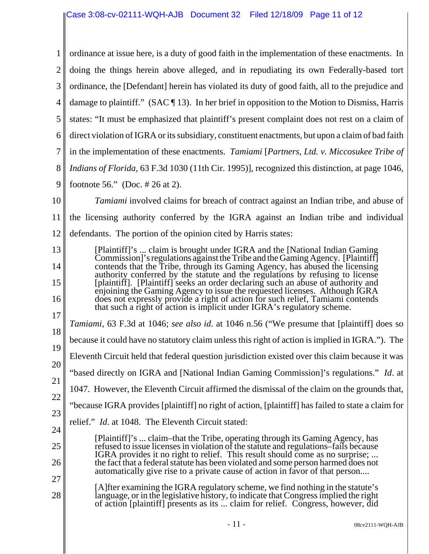| 1              | ordinance at issue here, is a duty of good faith in the implementation of these enactments. In                                                                                                                                                             |
|----------------|------------------------------------------------------------------------------------------------------------------------------------------------------------------------------------------------------------------------------------------------------------|
| $\overline{2}$ | doing the things herein above alleged, and in repudiating its own Federally-based tort                                                                                                                                                                     |
| 3              | ordinance, the [Defendant] herein has violated its duty of good faith, all to the prejudice and                                                                                                                                                            |
| 4              | damage to plaintiff." (SAC $\P$ 13). In her brief in opposition to the Motion to Dismiss, Harris                                                                                                                                                           |
| 5              | states: "It must be emphasized that plaintiff's present complaint does not rest on a claim of                                                                                                                                                              |
| 6              | direct violation of IGRA or its subsidiary, constituent enactments, but upon a claim of bad faith                                                                                                                                                          |
| 7              | in the implementation of these enactments. Tamiami [Partners, Ltd. v. Miccosukee Tribe of                                                                                                                                                                  |
| 8              | <i>Indians of Florida</i> , 63 F.3d 1030 (11th Cir. 1995)], recognized this distinction, at page 1046,                                                                                                                                                     |
| 9              | footnote 56." (Doc. $\# 26$ at 2).                                                                                                                                                                                                                         |
| 10             | <i>Tamiami</i> involved claims for breach of contract against an Indian tribe, and abuse of                                                                                                                                                                |
| 11             | the licensing authority conferred by the IGRA against an Indian tribe and individual                                                                                                                                                                       |
| 12             | defendants. The portion of the opinion cited by Harris states:                                                                                                                                                                                             |
| 13             | [Plaintiff]'s  claim is brought under IGRA and the [National Indian Gaming]<br>Commission]'s regulations against the Tribe and the Gaming Agency. [Plaintiff]                                                                                              |
| 14             | contends that the Tribe, through its Gaming Agency, has abused the licensing<br>authority conferred by the statute and the regulations by refusing to license                                                                                              |
| 15             | [plaintiff]. [Plaintiff] seeks an order declaring such an abuse of authority and<br>enjoining the Gaming Agency to issue the requested licenses. Although IGRA                                                                                             |
| 16             | does not expressly provide a right of action for such relief, Tamiami contends<br>that such a right of action is implicit under IGRA's regulatory scheme.                                                                                                  |
| 17             | <i>Tamiami</i> , 63 F.3d at 1046; <i>see also id.</i> at 1046 n.56 ("We presume that [plaintiff] does so                                                                                                                                                   |
| 18             | because it could have no statutory claim unless this right of action is implied in IGRA."). The                                                                                                                                                            |
| 19             | Eleventh Circuit held that federal question jurisdiction existed over this claim because it was                                                                                                                                                            |
| 20<br>21       | "based directly on IGRA and [National Indian Gaming Commission]'s regulations." Id. at                                                                                                                                                                     |
| 22             | 1047. However, the Eleventh Circuit affirmed the dismissal of the claim on the grounds that,                                                                                                                                                               |
| 23             | "because IGRA provides [plaintiff] no right of action, [plaintiff] has failed to state a claim for                                                                                                                                                         |
| 24             | relief." <i>Id.</i> at 1048. The Eleventh Circuit stated:                                                                                                                                                                                                  |
| 25             | [Plaintiff]'s  claim–that the Tribe, operating through its Gaming Agency, has<br>refused to issue licenses in violation of the statute and regulations–fails because                                                                                       |
| 26             | IGRA provides it no right to relief. This result should come as no surprise;<br>the fact that a federal statute has been violated and some person harmed does not                                                                                          |
| 27             | automatically give rise to a private cause of action in favor of that person                                                                                                                                                                               |
| 28             | [A] fter examining the IGRA regulatory scheme, we find nothing in the statute's<br>language, or in the legislative history, to indicate that Congress implied the right<br>of action [plaintiff] presents as its  claim for relief. Congress, however, did |
|                |                                                                                                                                                                                                                                                            |